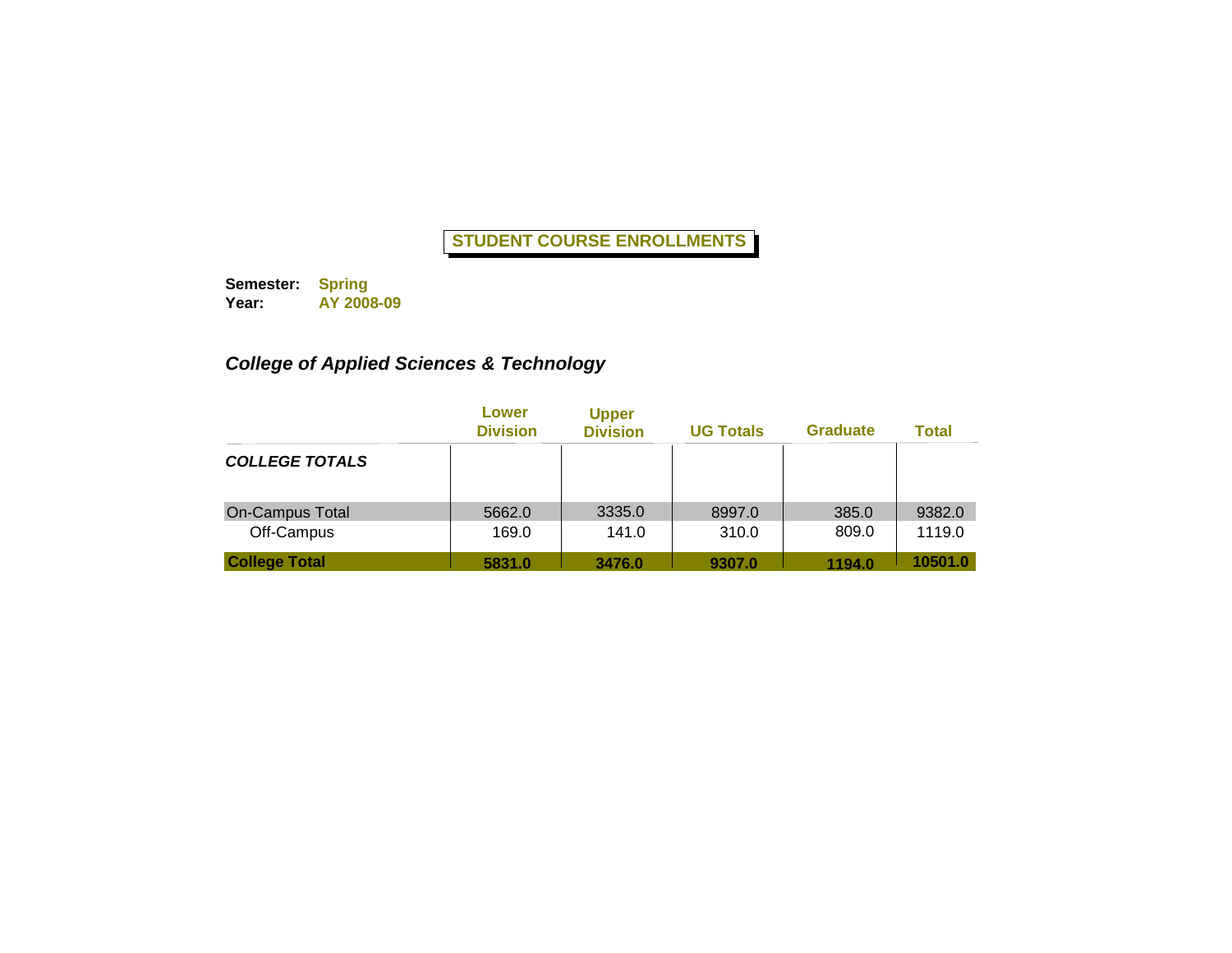**Semester: Year: Spring AY 2008-09**

# *College of Applied Sciences & Technology*

|                        | Lower<br><b>Division</b> | <b>Upper</b><br><b>Division</b> | <b>UG Totals</b> | <b>Graduate</b> | <b>Total</b> |
|------------------------|--------------------------|---------------------------------|------------------|-----------------|--------------|
| <b>COLLEGE TOTALS</b>  |                          |                                 |                  |                 |              |
| <b>On-Campus Total</b> | 5662.0                   | 3335.0                          | 8997.0           | 385.0           | 9382.0       |
| Off-Campus             | 169.0                    | 141.0                           | 310.0            | 809.0           | 1119.0       |
| <b>College Total</b>   | 5831.0                   | 3476.0                          | 9307.0           | 1194.0          | 10501.0      |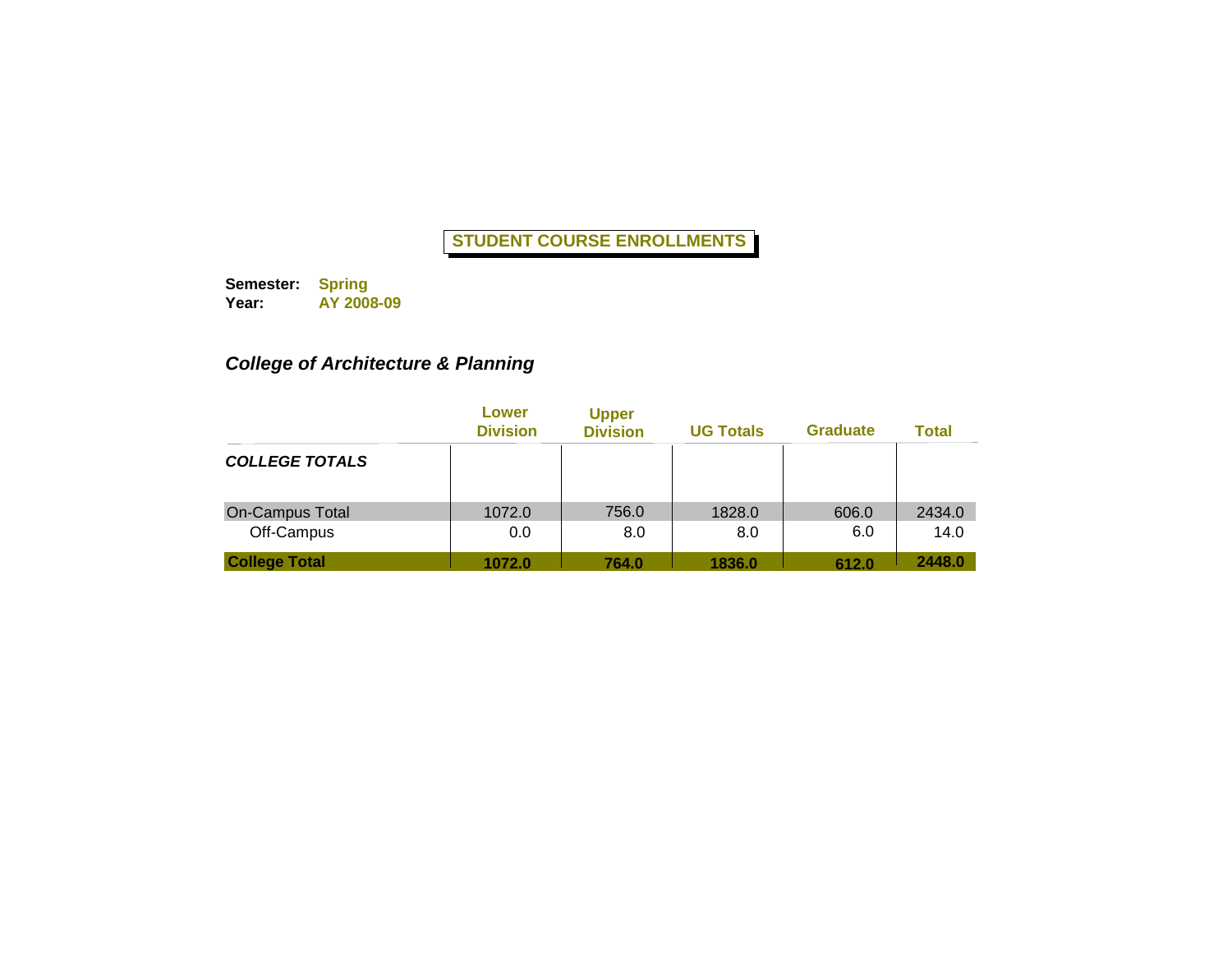**Semester: Year: Spring AY 2008-09**

# *College of Architecture & Planning*

|                        | Lower<br><b>Division</b> | <b>Upper</b><br><b>Division</b> | <b>UG Totals</b> | <b>Graduate</b> | <b>Total</b> |
|------------------------|--------------------------|---------------------------------|------------------|-----------------|--------------|
| <b>COLLEGE TOTALS</b>  |                          |                                 |                  |                 |              |
| <b>On-Campus Total</b> | 1072.0                   | 756.0                           | 1828.0           | 606.0           | 2434.0       |
| Off-Campus             | 0.0                      | 8.0                             | 8.0              | 6.0             | 14.0         |
| <b>College Total</b>   | 1072.0                   | 764.0                           | 1836.0           | 612.0           | 2448.0       |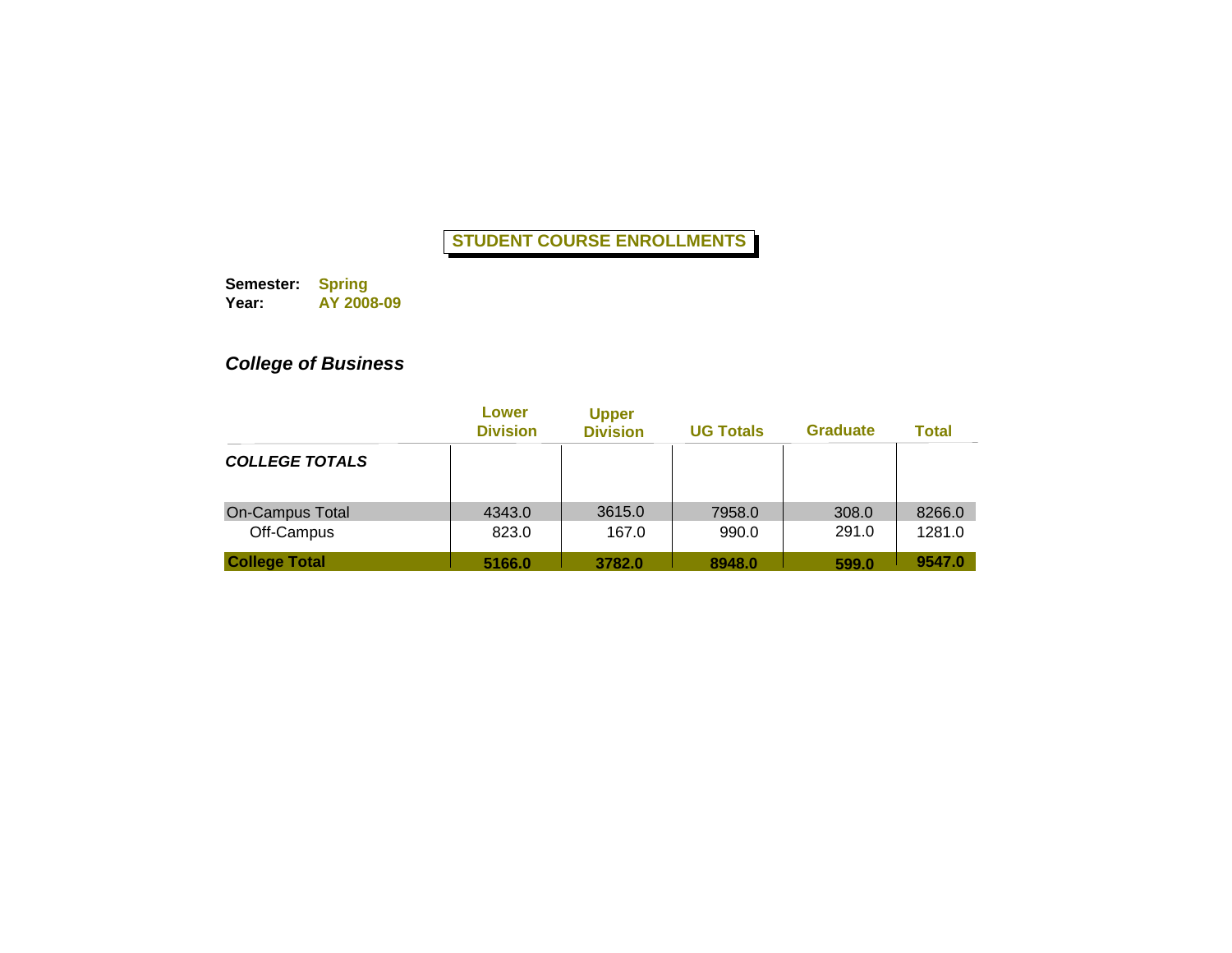**Semester: Year: Spring AY 2008-09**

# *College of Business*

|                       | Lower<br><b>Division</b> | <b>Upper</b><br><b>Division</b> | <b>UG Totals</b> | <b>Graduate</b> | <b>Total</b> |
|-----------------------|--------------------------|---------------------------------|------------------|-----------------|--------------|
| <b>COLLEGE TOTALS</b> |                          |                                 |                  |                 |              |
| On-Campus Total       | 4343.0                   | 3615.0                          | 7958.0           | 308.0           | 8266.0       |
| Off-Campus            | 823.0                    | 167.0                           | 990.0            | 291.0           | 1281.0       |
| <b>College Total</b>  | 5166.0                   | 3782.0                          | 8948.0           | 599.0           | 9547.0       |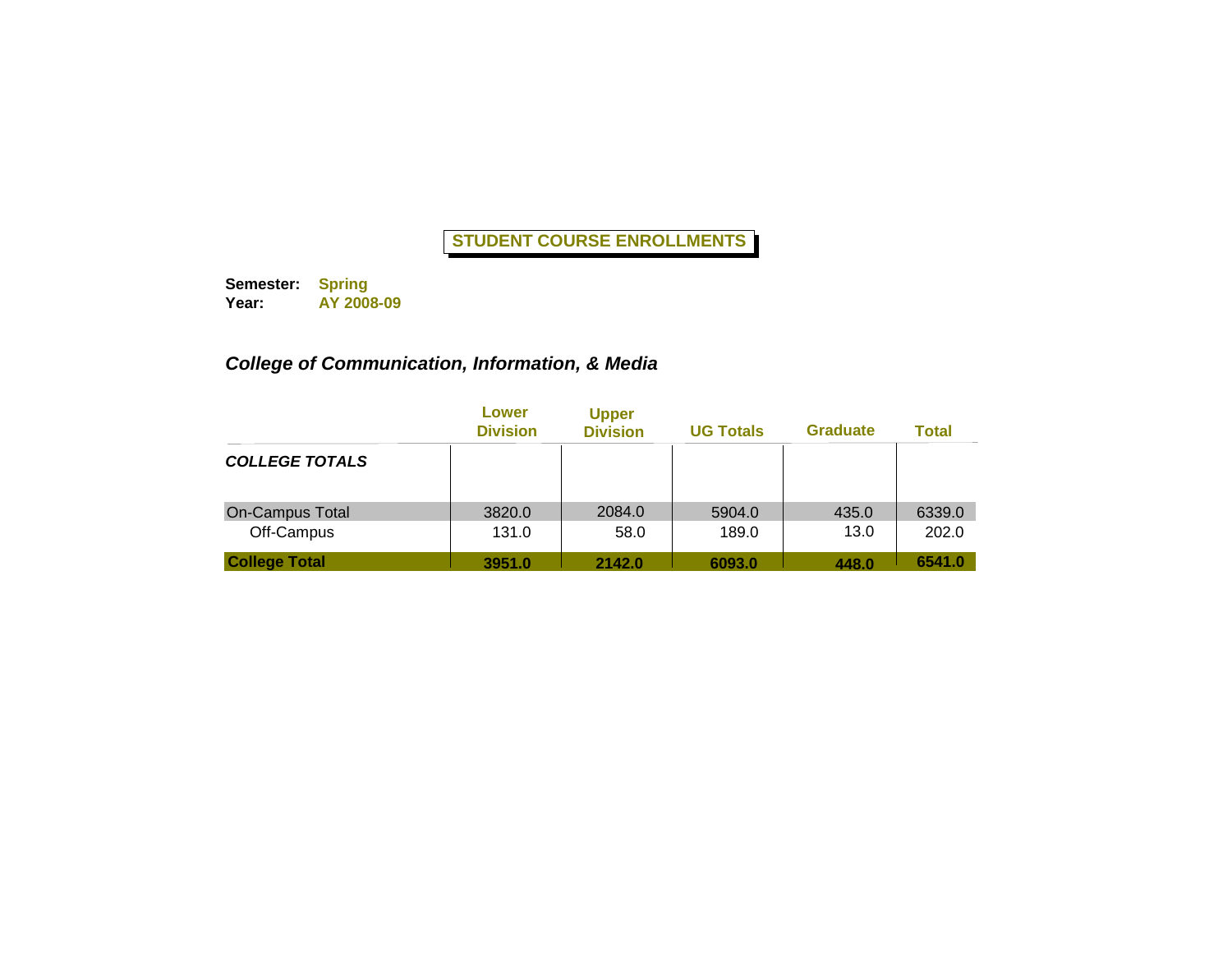**Semester: Year: Spring AY 2008-09**

# *College of Communication, Information, & Media*

|                       | Lower<br><b>Division</b> | <b>Upper</b><br><b>Division</b> | <b>UG Totals</b> | <b>Graduate</b> | <b>Total</b> |
|-----------------------|--------------------------|---------------------------------|------------------|-----------------|--------------|
| <b>COLLEGE TOTALS</b> |                          |                                 |                  |                 |              |
| On-Campus Total       | 3820.0                   | 2084.0                          | 5904.0           | 435.0           | 6339.0       |
| Off-Campus            | 131.0                    | 58.0                            | 189.0            | 13.0            | 202.0        |
| <b>College Total</b>  | 3951.0                   | 2142.0                          | 6093.0           | 448.0           | 6541.0       |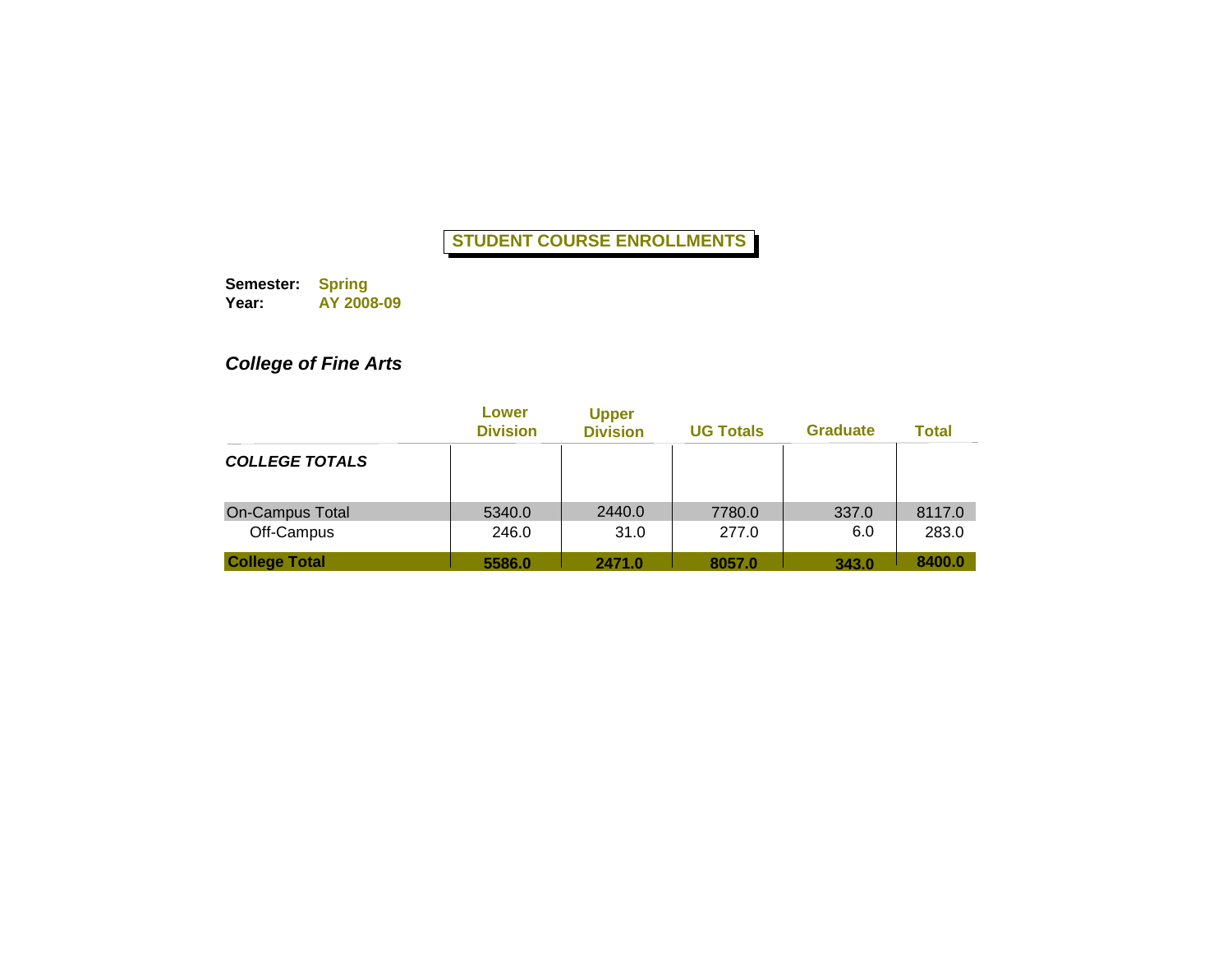**Semester: Year: Spring AY 2008-09**

# *College of Fine Arts*

|                       | Lower<br><b>Division</b> | <b>Upper</b><br><b>Division</b> | <b>UG Totals</b> | <b>Graduate</b> | <b>Total</b> |
|-----------------------|--------------------------|---------------------------------|------------------|-----------------|--------------|
| <b>COLLEGE TOTALS</b> |                          |                                 |                  |                 |              |
| On-Campus Total       | 5340.0                   | 2440.0                          | 7780.0           | 337.0           | 8117.0       |
| Off-Campus            | 246.0                    | 31.0                            | 277.0            | 6.0             | 283.0        |
| <b>College Total</b>  | 5586.0                   | 2471.0                          | 8057.0           | 343.0           | 8400.0       |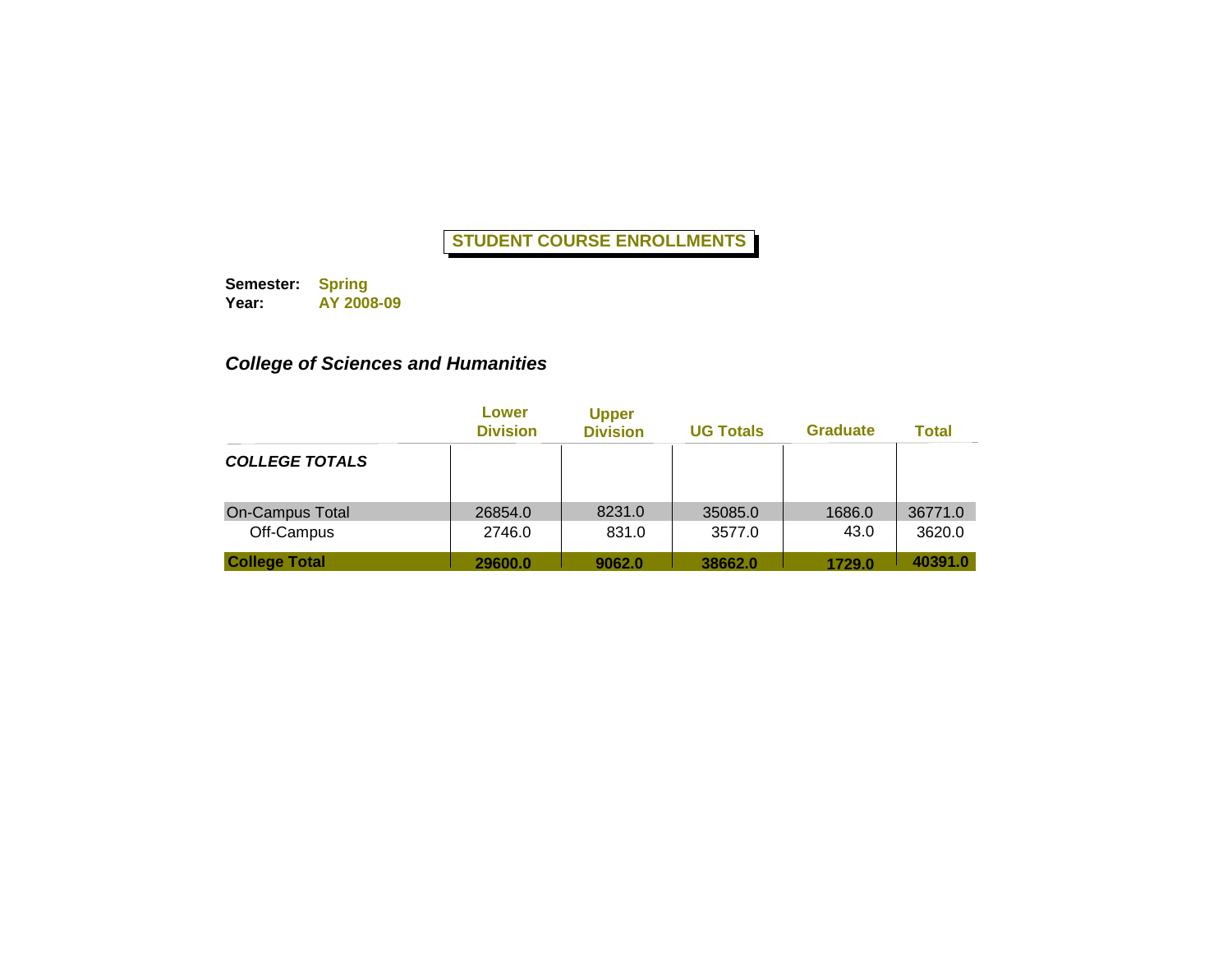**Semester: Year: Spring AY 2008-09**

# *College of Sciences and Humanities*

|                       | Lower<br><b>Division</b> | <b>Upper</b><br><b>Division</b> | <b>UG Totals</b> | <b>Graduate</b> | <b>Total</b> |
|-----------------------|--------------------------|---------------------------------|------------------|-----------------|--------------|
| <b>COLLEGE TOTALS</b> |                          |                                 |                  |                 |              |
| On-Campus Total       | 26854.0                  | 8231.0                          | 35085.0          | 1686.0          | 36771.0      |
| Off-Campus            | 2746.0                   | 831.0                           | 3577.0           | 43.0            | 3620.0       |
| <b>College Total</b>  | 29600.0                  | 9062.0                          | 38662.0          | 1729.0          | 40391.0      |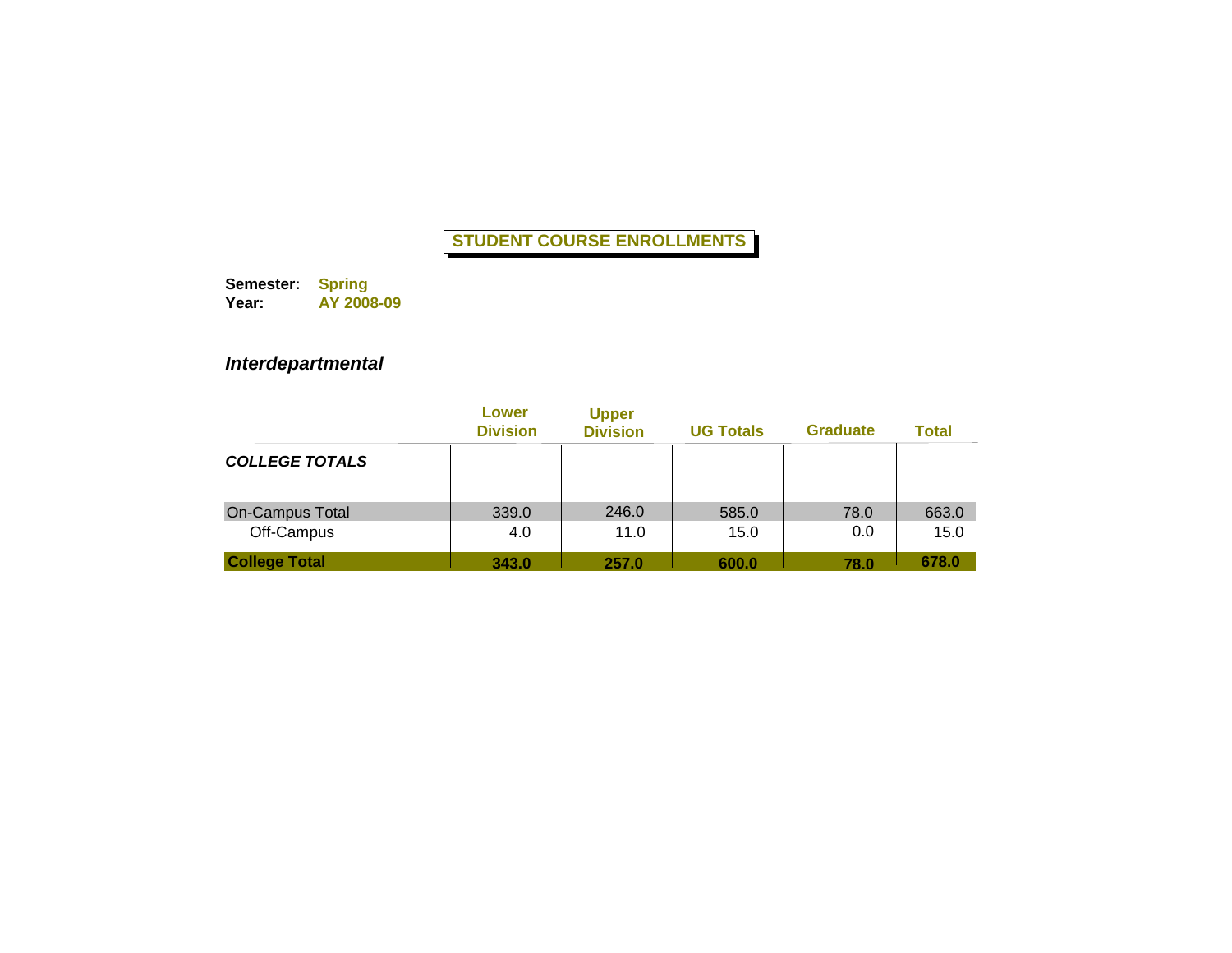**Semester: Year: Spring AY 2008-09**

### *Interdepartmental*

|                        | Lower<br><b>Division</b> | <b>Upper</b><br><b>Division</b> | <b>UG Totals</b> | <b>Graduate</b> | <b>Total</b> |
|------------------------|--------------------------|---------------------------------|------------------|-----------------|--------------|
| <b>COLLEGE TOTALS</b>  |                          |                                 |                  |                 |              |
| <b>On-Campus Total</b> | 339.0                    | 246.0                           | 585.0            | 78.0            | 663.0        |
| Off-Campus             | 4.0                      | 11.0                            | 15.0             | 0.0             | 15.0         |
| <b>College Total</b>   | 343.0                    | 257.0                           | 600.0            | 78.0            | 678.0        |